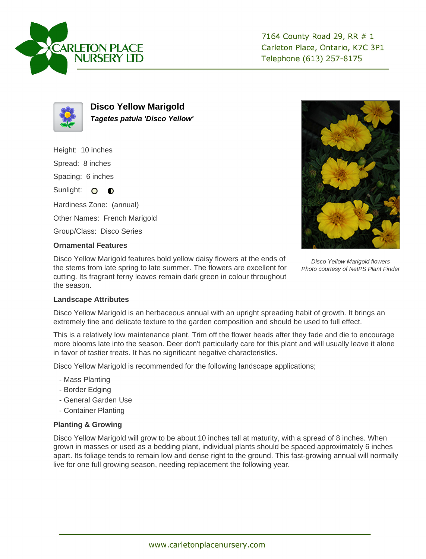



**Disco Yellow Marigold Tagetes patula 'Disco Yellow'**

Height: 10 inches Spread: 8 inches Spacing: 6 inches Sunlight: O **O** Hardiness Zone: (annual) Other Names: French Marigold

Group/Class: Disco Series

## **Ornamental Features**

Disco Yellow Marigold features bold yellow daisy flowers at the ends of the stems from late spring to late summer. The flowers are excellent for cutting. Its fragrant ferny leaves remain dark green in colour throughout the season.



Disco Yellow Marigold flowers Photo courtesy of NetPS Plant Finder

## **Landscape Attributes**

Disco Yellow Marigold is an herbaceous annual with an upright spreading habit of growth. It brings an extremely fine and delicate texture to the garden composition and should be used to full effect.

This is a relatively low maintenance plant. Trim off the flower heads after they fade and die to encourage more blooms late into the season. Deer don't particularly care for this plant and will usually leave it alone in favor of tastier treats. It has no significant negative characteristics.

Disco Yellow Marigold is recommended for the following landscape applications;

- Mass Planting
- Border Edging
- General Garden Use
- Container Planting

## **Planting & Growing**

Disco Yellow Marigold will grow to be about 10 inches tall at maturity, with a spread of 8 inches. When grown in masses or used as a bedding plant, individual plants should be spaced approximately 6 inches apart. Its foliage tends to remain low and dense right to the ground. This fast-growing annual will normally live for one full growing season, needing replacement the following year.